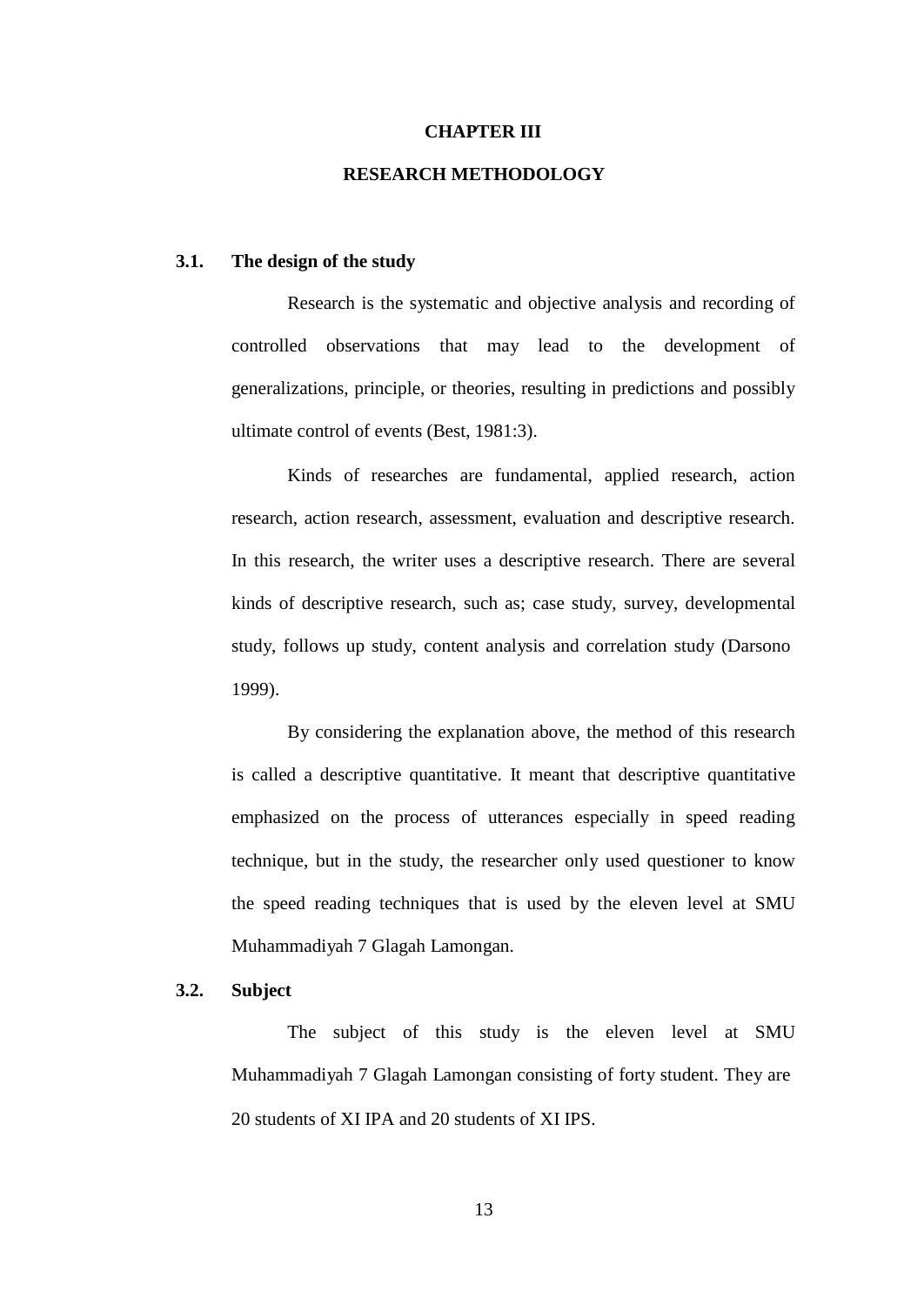## **CHAPTER III**

## **RESEARCH METHODOLOGY**

#### **3.1. The design of the study**

Research is the systematic and objective analysis and recording of controlled observations that may lead to the development of generalizations, principle, or theories, resulting in predictions and possibly ultimate control of events (Best, 1981:3).

Kinds of researches are fundamental, applied research, action research, action research, assessment, evaluation and descriptive research. In this research, the writer uses a descriptive research. There are several kinds of descriptive research, such as; case study, survey, developmental study, follows up study, content analysis and correlation study (Darsono 1999).

By considering the explanation above, the method of this research is called a descriptive quantitative. It meant that descriptive quantitative emphasized on the process of utterances especially in speed reading technique, but in the study, the researcher only used questioner to know the speed reading techniques that is used by the eleven level at SMU Muhammadiyah 7 Glagah Lamongan.

#### **3.2. Subject**

The subject of this study is the eleven level at SMU Muhammadiyah 7 Glagah Lamongan consisting of forty student. They are 20 students of XI IPA and 20 students of XI IPS.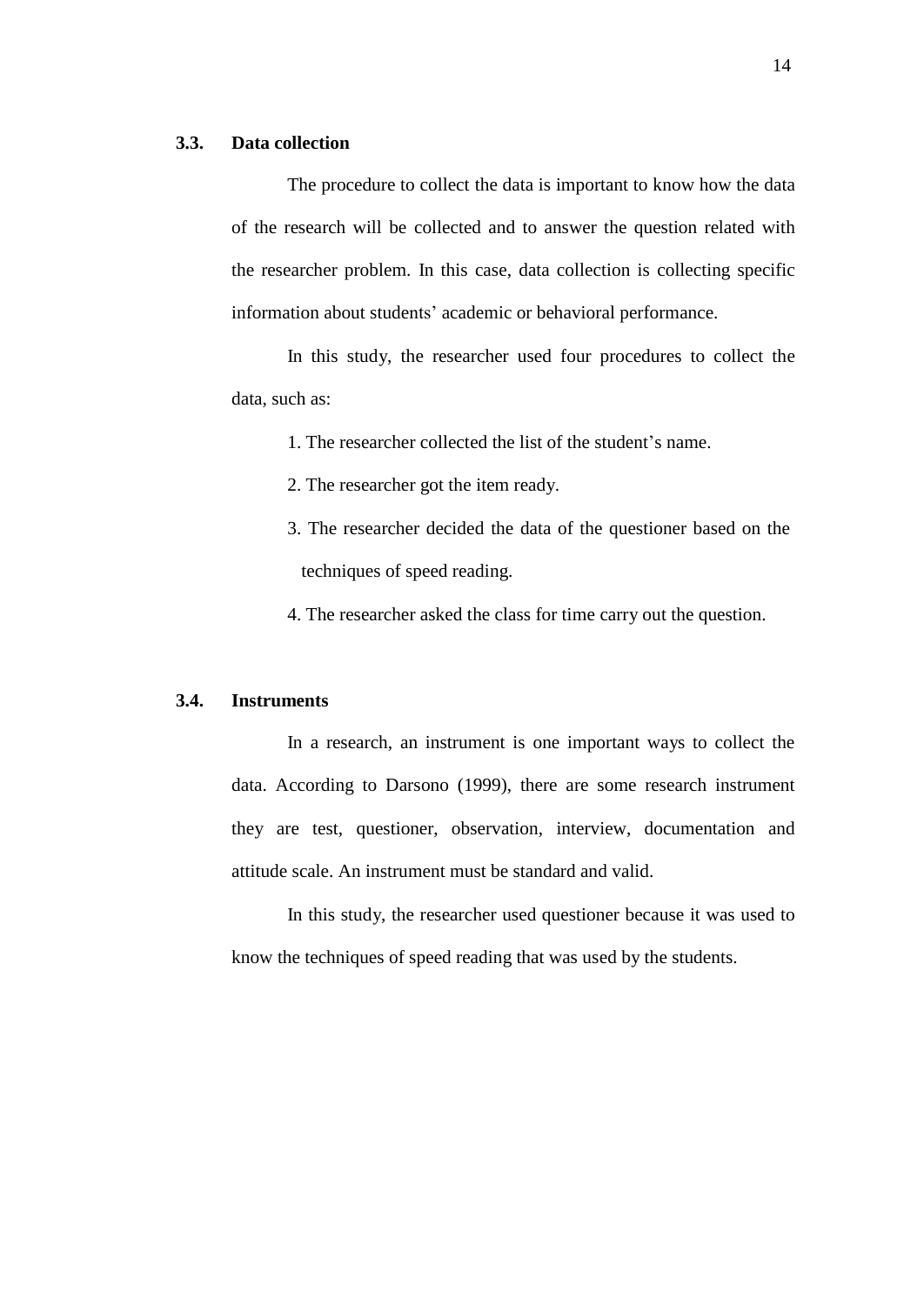#### **3.3. Data collection**

The procedure to collect the data is important to know how the data of the research will be collected and to answer the question related with the researcher problem. In this case, data collection is collecting specific information about students' academic or behavioral performance.

In this study, the researcher used four procedures to collect the data, such as:

1. The researcher collected the list of the student's name.

2. The researcher got the item ready.

3. The researcher decided the data of the questioner based on the techniques of speed reading.

4. The researcher asked the class for time carry out the question.

#### **3.4. Instruments**

In a research, an instrument is one important ways to collect the data. According to Darsono (1999), there are some research instrument they are test, questioner, observation, interview, documentation and attitude scale. An instrument must be standard and valid.

In this study, the researcher used questioner because it was used to know the techniques of speed reading that was used by the students.